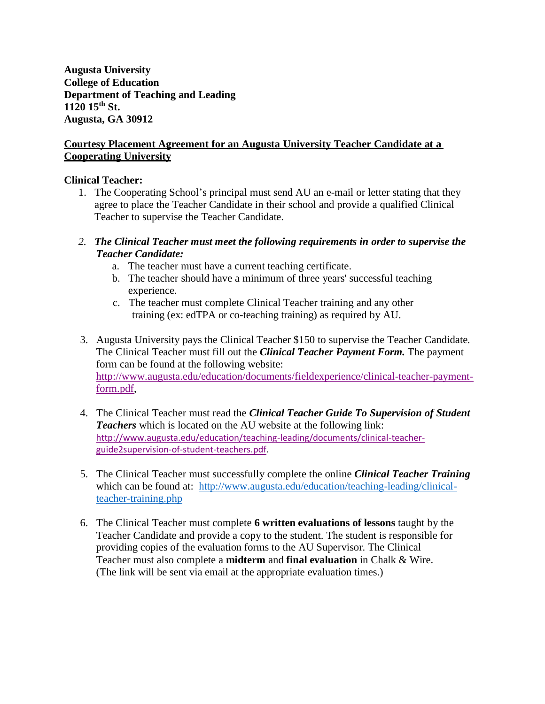**Augusta University College of Education Department of Teaching and Leading 1120 15th St. Augusta, GA 30912**

## **Courtesy Placement Agreement for an Augusta University Teacher Candidate at a Cooperating University**

## **Clinical Teacher:**

- 1. The Cooperating School's principal must send AU an e-mail or letter stating that they agree to place the Teacher Candidate in their school and provide a qualified Clinical Teacher to supervise the Teacher Candidate.
- *2. The Clinical Teacher must meet the following requirements in order to supervise the Teacher Candidate:*
	- a. The teacher must have a current teaching certificate.
	- b. The teacher should have a minimum of three years' successful teaching experience.
	- c. The teacher must complete Clinical Teacher training and any other training (ex: edTPA or co-teaching training) as required by AU.
- 3. Augusta University pays the Clinical Teacher \$150 to supervise the Teacher Candidate. The Clinical Teacher must fill out the *Clinical Teacher Payment Form.* The payment form can be found at the following website: [http://www.augusta.edu/education/documents/fieldexperience/clinical-teacher-payment](http://www.augusta.edu/education/documents/fieldexperience/clinical-teacher-payment-form.pdf)[form.pdf,](http://www.augusta.edu/education/documents/fieldexperience/clinical-teacher-payment-form.pdf)
- 4. The Clinical Teacher must read the *Clinical Teacher Guide To Supervision of Student Teachers* which is located on the AU website at the following link: [http://www.augusta.edu/education/teaching-leading/documents/clinical-teacher](http://www.augusta.edu/education/teaching-leading/documents/clinical-teacher-guide2supervision-of-student-teachers.pdf)[guide2supervision-of-student-teachers.pdf.](http://www.augusta.edu/education/teaching-leading/documents/clinical-teacher-guide2supervision-of-student-teachers.pdf)
- 5. The Clinical Teacher must successfully complete the online *Clinical Teacher Training* which can be found at: [http://www.augusta.edu/education/teaching-leading/clinical](http://www.augusta.edu/education/teaching-leading/clinical-teacher-training.php)[teacher-training.php](http://www.augusta.edu/education/teaching-leading/clinical-teacher-training.php)
- 6. The Clinical Teacher must complete **6 written evaluations of lessons** taught by the Teacher Candidate and provide a copy to the student. The student is responsible for providing copies of the evaluation forms to the AU Supervisor. The Clinical Teacher must also complete a **midterm** and **final evaluation** in Chalk & Wire. (The link will be sent via email at the appropriate evaluation times.)